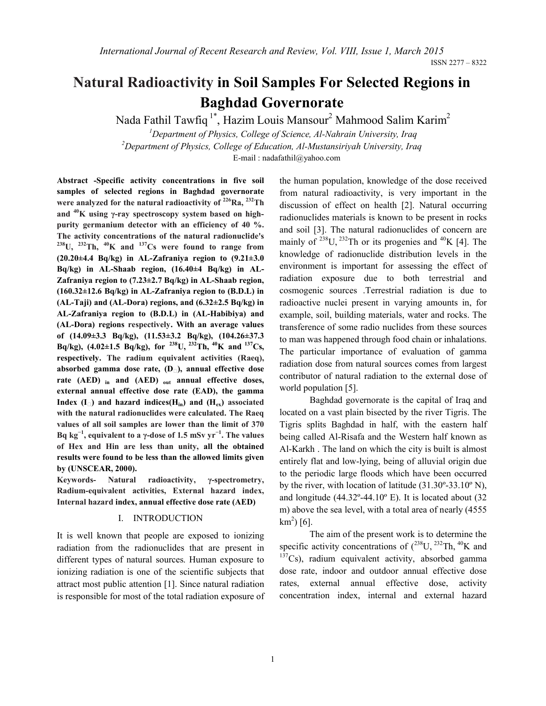# **Natural Radioactivity in Soil Samples For Selected Regions in Baghdad Governorate**

Nada Fathil Tawfiq 1\*, Hazim Louis Mansour2 Mahmood Salim Karim2

<sup>1</sup> Department of Physics, College of Science, Al-Nahrain University, Iraq <sup>2</sup> Department of Physics, College of Education, Al Mustanginius University, Iraq *Department of Physics, College of Education, Al-Mustansiriyah University, Iraq*

E-mail : nadafathil@yahoo.com

**Abstract -Specific activity concentrations in five soil samples of selected regions in Baghdad governorate were analyzed for the natural radioactivity of 226Ra, 232Th and 40K using γ-ray spectroscopy system based on highpurity germanium detector with an efficiency of 40 %. The activity concentrations of the natural radionuclide's 238U, 232Th, 40K and 137Cs were found to range from (20.20±4.4 Bq/kg) in AL-Zafraniya region to (9.21±3.0 Bq/kg) in AL-Shaab region, (16.40±4 Bq/kg) in AL-Zafraniya region to (7.23±2.7 Bq/kg) in AL-Shaab region, (160.32±12.6 Bq/kg) in AL-Zafraniya region to (B.D.L) in (AL-Taji) and (AL-Dora) regions, and (6.32±2.5 Bq/kg) in AL-Zafraniya region to (B.D.L) in (AL-Habibiya) and (AL-Dora) regions respectively. With an average values of (14.09±3.3 Bq/kg), (11.53±3.2 Bq/kg), (104.26±37.3 Bq/kg), (4.02±1.5 Bq/kg), for 238U, 232Th, 40K and 137Cs, respectively. The radium equivalent activities (Raeq), absorbed gamma dose rate, (D), annual effective dose rate (AED) in and (AED) out annual effective doses, external annual effective dose rate (EAD), the gamma**  Index  $(I_{\square})$  and hazard indices( $H_{in}$ ) and  $(H_{ex})$  associated **with the natural radionuclides were calculated. The Raeq values of all soil samples are lower than the limit of 370 Bq kg<sup>−</sup><sup>1</sup> , equivalent to a γ-dose of 1***.***5 mSv yr<sup>−</sup><sup>1</sup> . The values of Hex and Hin are less than unity, all the obtained results were found to be less than the allowed limits given by (UNSCEAR, 2000).**

**Keywords- Natural radioactivity, γ-spectrometry, Radium-equivalent activities, External hazard index, Internal hazard index, annual effective dose rate (AED)**

# I. INTRODUCTION

It is well known that people are exposed to ionizing radiation from the radionuclides that are present in different types of natural sources. Human exposure to ionizing radiation is one of the scientific subjects that attract most public attention [1]. Since natural radiation is responsible for most of the total radiation exposure of the human population, knowledge of the dose received from natural radioactivity, is very important in the discussion of effect on health [2]. Natural occurring radionuclides materials is known to be present in rocks and soil [3]. The natural radionuclides of concern are mainly of  $^{238}$ U,  $^{232}$ Th or its progenies and  $^{40}$ K [4]. The knowledge of radionuclide distribution levels in the environment is important for assessing the effect of radiation exposure due to both terrestrial and cosmogenic sources .Terrestrial radiation is due to radioactive nuclei present in varying amounts in, for example, soil, building materials, water and rocks. The transference of some radio nuclides from these sources to man was happened through food chain or inhalations. The particular importance of evaluation of gamma radiation dose from natural sources comes from largest contributor of natural radiation to the external dose of world population [5].

Baghdad governorate is the capital of Iraq and located on a vast plain bisected by the river Tigris. The Tigris splits Baghdad in half, with the eastern half being called Al-Risafa and the Western half known as Al-Karkh . The land on which the city is built is almost entirely flat and low-lying, being of alluvial origin due to the periodic large floods which have been occurred by the river, with location of latitude (31.30º-33.10º N), and longitude  $(44.32^{\circ} - 44.10^{\circ}$  E). It is located about  $(32$ m) above the sea level, with a total area of nearly (4555  $km^2$ ) [6].

The aim of the present work is to determine the specific activity concentrations of  $(^{238}U, ^{232}Th, ^{40}K$  and  $137Cs$ ), radium equivalent activity, absorbed gamma dose rate, indoor and outdoor annual effective dose rates, external annual effective dose, activity concentration index, internal and external hazard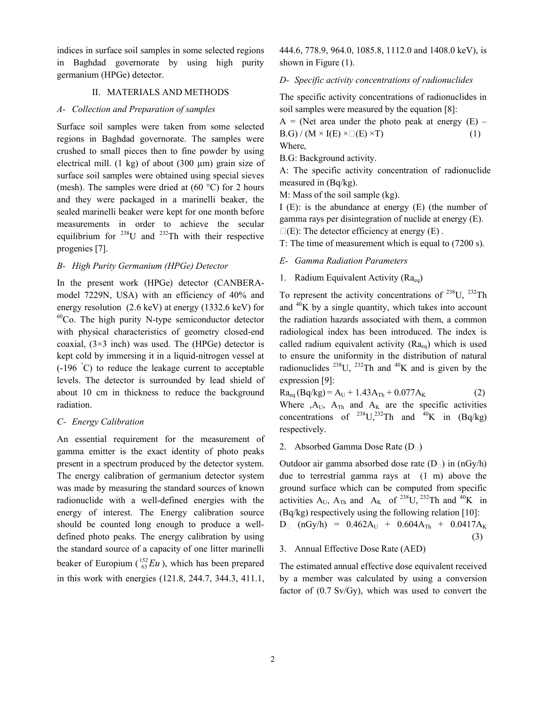indices in surface soil samples in some selected regions in Baghdad governorate by using high purity germanium (HPGe) detector.

#### II. MATERIALS AND METHODS

#### *A- Collection and Preparation of samples*

Surface soil samples were taken from some selected regions in Baghdad governorate. The samples were crushed to small pieces then to fine powder by using electrical mill.  $(1 \text{ kg})$  of about  $(300 \text{ µm})$  grain size of surface soil samples were obtained using special sieves (mesh). The samples were dried at  $(60 °C)$  for 2 hours and they were packaged in a marinelli beaker, the sealed marinelli beaker were kept for one month before measurements in order to achieve the secular equilibrium for  $^{238}$ U and  $^{232}$ Th with their respective progenies [7].

#### *B- High Purity Germanium (HPGe) Detector*

In the present work (HPGe) detector (CANBERAmodel 7229N, USA) with an efficiency of 40% and energy resolution (2.6 keV) at energy (1332.6 keV) for  $60^{\circ}$ Co. The high purity N-type semiconductor detector with physical characteristics of geometry closed-end coaxial,  $(3\times3$  inch) was used. The (HPGe) detector is kept cold by immersing it in a liquid-nitrogen vessel at (-196 ° C) to reduce the leakage current to acceptable levels. The detector is surrounded by lead shield of about 10 cm in thickness to reduce the background radiation.

### *C- Energy Calibration*

An essential requirement for the measurement of gamma emitter is the exact identity of photo peaks present in a spectrum produced by the detector system. The energy calibration of germanium detector system was made by measuring the standard sources of known radionuclide with a well-defined energies with the energy of interest. The Energy calibration source should be counted long enough to produce a welldefined photo peaks. The energy calibration by using the standard source of a capacity of one litter marinelli beaker of Europium  $\binom{152}{63}Eu$ , which has been prepared in this work with energies (121.8, 244.7, 344.3, 411.1,

444.6, 778.9, 964.0, 1085.8, 1112.0 and 1408.0 keV), is shown in Figure (1).

#### *D- Specific activity concentrations of radionuclides*

The specific activity concentrations of radionuclides in soil samples were measured by the equation [8]:

 $A = (Net area under the photo peak at energy (E))$  $B.G$ ) / (M × I(E) ×  $\Box$  (E) × T) (1) Where,

B.G: Background activity.

A: The specific activity concentration of radionuclide measured in (Bq/kg).

M: Mass of the soil sample (kg).

I (E): is the abundance at energy (E) (the number of gamma rays per disintegration of nuclide at energy (E).  $\square(E)$ : The detector efficiency at energy (E).

T: The time of measurement which is equal to (7200 s).

- *E- Gamma Radiation Parameters*
- 1. Radium Equivalent Activity  $(Ra_{eq})$

To represent the activity concentrations of  $^{238}$ U,  $^{232}$ Th and  $^{40}$ K by a single quantity, which takes into account the radiation hazards associated with them, a common radiological index has been introduced. The index is called radium equivalent activity  $(Ra_{eq})$  which is used to ensure the uniformity in the distribution of natural radionuclides <sup>238</sup>U, <sup>232</sup>Th and <sup>40</sup>K and is given by the expression [9]:

 $Ra_{eq} (Bq/kg) = A_U + 1.43A_{Th} + 0.077A_K$  (2) Where  $, A_U$ ,  $A_{Th}$  and  $A_K$  are the specific activities concentrations of  $^{238}U,^{232}Th$  and  $^{40}K$  in (Bq/kg) respectively.

2. Absorbed Gamma Dose Rate  $(D_{\Box})$ 

Outdoor air gamma absorbed dose rate  $(D_{\Box})$  in  $(nGy/h)$ due to terrestrial gamma rays at (1 m) above the ground surface which can be computed from specific activities  $A_U$ ,  $A_{Th}$  and  $A_K$  of <sup>238</sup>U, <sup>232</sup>Th and <sup>40</sup>K in (Bq/kg) respectively using the following relation [10]:  $D_{\Box}$  (nGy/h) = 0.462A<sub>U</sub> + 0.604A<sub>Th</sub> + 0.0417A<sub>K</sub> (3)

#### 3. Annual Effective Dose Rate (AED)

The estimated annual effective dose equivalent received by a member was calculated by using a conversion factor of (0.7 Sv/Gy), which was used to convert the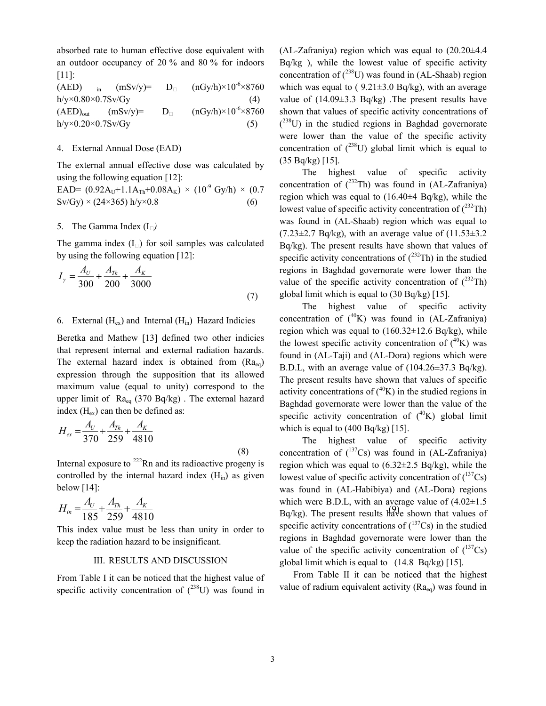absorbed rate to human effective dose equivalent with an outdoor occupancy of 20 % and 80 % for indoors [11]:

(AED) in  $(mSv/y) = D_{\Box} (nGy/h) \times 10^{-6} \times 8760$  $h/y \times 0.80 \times 0.7$ Sv/Gy (4)  $(AED)_{out}$   $(mSv/y) = D_{\Box}$   $(nGy/h) \times 10^{-6} \times 8760$  $h/v \times 0.20 \times 0.7$ Sv/Gy (5)

#### 4. External Annual Dose (EAD)

The external annual effective dose was calculated by using the following equation [12]:

EAD=  $(0.92A_U+1.1A_{Th}+0.08A_K) \times (10^{-9} \text{ Gy/h}) \times (0.7$  $Sv/Gy$  × (24×365) h/y×0.8 (6)

# 5. The Gamma Index (I*)*

The gamma index  $(I_{\Box})$  for soil samples was calculated by using the following equation [12]:

$$
I_{\gamma} = \frac{A_U}{300} + \frac{A_{Th}}{200} + \frac{A_K}{3000}
$$
\n(7)

#### 6. External  $(H_{ex})$  and Internal  $(H_{in})$  Hazard Indicies

Beretka and Mathew [13] defined two other indicies that represent internal and external radiation hazards. The external hazard index is obtained from  $(Ra_{eq})$ expression through the supposition that its allowed maximum value (equal to unity) correspond to the upper limit of  $Ra_{eq}$  (370 Bq/kg). The external hazard index  $(H_{ex})$  can then be defined as:

$$
H_{ex} = \frac{A_U}{370} + \frac{A_{Th}}{259} + \frac{A_K}{4810}
$$
\n(8)

Internal exposure to  $^{222}$ Rn and its radioactive progeny is controlled by the internal hazard index  $(H_{in})$  as given below  $[14]$ :

$$
H_{in} = \frac{A_U}{185} + \frac{A_{Th}}{259} + \frac{A_K}{4810}
$$

This index value must be less than unity in order to keep the radiation hazard to be insignificant.

#### III. RESULTS AND DISCUSSION

From Table I it can be noticed that the highest value of specific activity concentration of  $(^{238}U)$  was found in (AL-Zafraniya) region which was equal to  $(20.20\pm4.4$ Bq/kg ), while the lowest value of specific activity concentration of  $(^{238}U)$  was found in (AL-Shaab) region which was equal to  $(9.21 \pm 3.0 \text{ Bq/kg})$ , with an average value of  $(14.09\pm3.3 \text{ Bq/kg})$ . The present results have shown that values of specific activity concentrations of  $(238)$  in the studied regions in Baghdad governorate were lower than the value of the specific activity concentration of  $(^{238}U)$  global limit which is equal to (35 Bq/kg) [15].

The highest value of specific activity concentration of  $(^{232}Th)$  was found in (AL-Zafraniya) region which was equal to  $(16.40\pm4 \text{ Bq/kg})$ , while the lowest value of specific activity concentration of  $(^{232}Th)$ was found in (AL-Shaab) region which was equal to  $(7.23\pm2.7 \text{ Bq/kg})$ , with an average value of  $(11.53\pm3.2 \text{ A})$ Bq/kg). The present results have shown that values of specific activity concentrations of  $(^{232}Th)$  in the studied regions in Baghdad governorate were lower than the value of the specific activity concentration of  $(^{232}Th)$ global limit which is equal to (30 Bq/kg) [15].

The highest value of specific activity concentration of  $(^{40}K)$  was found in (AL-Zafraniya) region which was equal to  $(160.32 \pm 12.6 \text{ Bq/kg})$ , while the lowest specific activity concentration of  $(^{40}K)$  was found in (AL-Taji) and (AL-Dora) regions which were B.D.L, with an average value of (104.26±37.3 Bq/kg). The present results have shown that values of specific activity concentrations of  $(^{40}K)$  in the studied regions in Baghdad governorate were lower than the value of the specific activity concentration of  $(^{40}K)$  global limit which is equal to  $(400 \text{ Bq/kg})$  [15].

 $H_{in} = \frac{A_U}{1.076} + \frac{A_{Th}}{256} + \frac{A_K}{1.016}$  which were B.D.L, with an average value of (4.02±1.5) The highest value of specific activity concentration of  $(^{137}Cs)$  was found in (AL-Zafraniya) region which was equal to  $(6.32 \pm 2.5 \text{ Bq/kg})$ , while the lowest value of specific activity concentration of  $(^{137}Cs)$ was found in (AL-Habibiya) and (AL-Dora) regions  $Bq/kg$ ). The present results have shown that values of specific activity concentrations of  $(^{137}Cs)$  in the studied regions in Baghdad governorate were lower than the value of the specific activity concentration of  $(^{137}Cs)$ global limit which is equal to (14.8 Bq/kg) [15].

> From Table II it can be noticed that the highest value of radium equivalent activity  $(Ra_{eq})$  was found in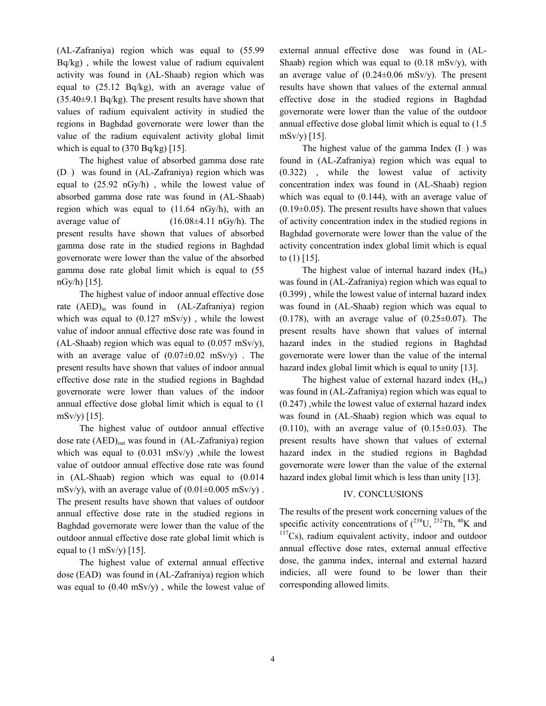(AL-Zafraniya) region which was equal to (55.99 Bq/kg) , while the lowest value of radium equivalent activity was found in (AL-Shaab) region which was equal to (25.12 Bq/kg), with an average value of  $(35.40\pm9.1 \text{ Bq/kg})$ . The present results have shown that values of radium equivalent activity in studied the regions in Baghdad governorate were lower than the value of the radium equivalent activity global limit which is equal to  $(370 Bq/kg)$  [15].

The highest value of absorbed gamma dose rate  $(D<sub>1</sub>)$  was found in (AL-Zafraniya) region which was equal to (25.92 nGy/h) , while the lowest value of absorbed gamma dose rate was found in (AL-Shaab) region which was equal to (11.64 nGy/h), with an average value of  $(16.08\pm4.11 \text{ nGy/h})$ . The present results have shown that values of absorbed gamma dose rate in the studied regions in Baghdad governorate were lower than the value of the absorbed gamma dose rate global limit which is equal to (55  $nGy/h$  [15].

The highest value of indoor annual effective dose rate  $(AED)_{in}$  was found in  $(AL-Za$ franiya) region which was equal to  $(0.127 \text{ mSv/y})$ , while the lowest value of indoor annual effective dose rate was found in (AL-Shaab) region which was equal to  $(0.057 \text{ mSv/y})$ , with an average value of  $(0.07\pm0.02 \text{ mSv/y})$ . The present results have shown that values of indoor annual effective dose rate in the studied regions in Baghdad governorate were lower than values of the indoor annual effective dose global limit which is equal to (1 mSv/y) [15].

The highest value of outdoor annual effective dose rate (AED)<sub>out</sub> was found in (AL-Zafraniya) region which was equal to  $(0.031 \text{ mSv/y})$ , while the lowest value of outdoor annual effective dose rate was found in (AL-Shaab) region which was equal to (0.014 mSv/y), with an average value of  $(0.01\pm0.005 \text{ mSv/y})$ . The present results have shown that values of outdoor annual effective dose rate in the studied regions in Baghdad governorate were lower than the value of the outdoor annual effective dose rate global limit which is equal to  $(1 \text{ mSv/y})$  [15].

The highest value of external annual effective dose (EAD) was found in (AL-Zafraniya) region which was equal to  $(0.40 \text{ mSv/y})$ , while the lowest value of external annual effective dose was found in (AL-Shaab) region which was equal to  $(0.18 \text{ mSv/y})$ , with an average value of  $(0.24 \pm 0.06 \text{ mSv/v})$ . The present results have shown that values of the external annual effective dose in the studied regions in Baghdad governorate were lower than the value of the outdoor annual effective dose global limit which is equal to (1.5  $mSv/y$  [15].

The highest value of the gamma Index  $(I_{\square})$  was found in (AL-Zafraniya) region which was equal to (0.322) , while the lowest value of activity concentration index was found in (AL-Shaab) region which was equal to (0.144), with an average value of  $(0.19\pm0.05)$ . The present results have shown that values of activity concentration index in the studied regions in Baghdad governorate were lower than the value of the activity concentration index global limit which is equal to (1) [15].

The highest value of internal hazard index  $(H_{in})$ was found in (AL-Zafraniya) region which was equal to (0.399) , while the lowest value of internal hazard index was found in (AL-Shaab) region which was equal to  $(0.178)$ , with an average value of  $(0.25\pm0.07)$ . The present results have shown that values of internal hazard index in the studied regions in Baghdad governorate were lower than the value of the internal hazard index global limit which is equal to unity [13].

The highest value of external hazard index  $(H_{ex})$ was found in (AL-Zafraniya) region which was equal to (0.247) ,while the lowest value of external hazard index was found in (AL-Shaab) region which was equal to  $(0.110)$ , with an average value of  $(0.15\pm0.03)$ . The present results have shown that values of external hazard index in the studied regions in Baghdad governorate were lower than the value of the external hazard index global limit which is less than unity [13].

# IV. CONCLUSIONS

The results of the present work concerning values of the specific activity concentrations of  $(^{238}$ U,  $^{232}$ Th,  $^{40}$ K and  $137Cs$ ), radium equivalent activity, indoor and outdoor annual effective dose rates, external annual effective dose, the gamma index, internal and external hazard indicies, all were found to be lower than their corresponding allowed limits.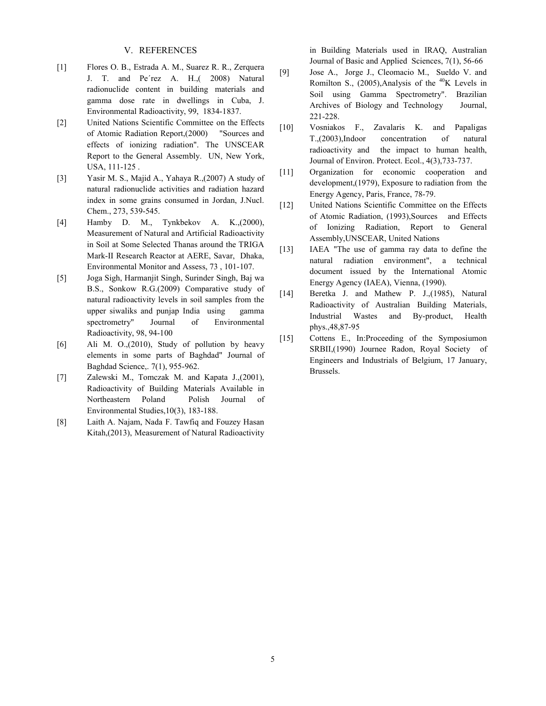# V. REFERENCES

- [1] Flores O. B., Estrada A. M., Suarez R. R., Zerquera J. T. and Pe´rez A. H.,( 2008) Natural radionuclide content in building materials and gamma dose rate in dwellings in Cuba, J. Environmental Radioactivity, 99, 1834-1837.
- [2] United Nations Scientific Committee on the Effects of Atomic Radiation Report,(2000) "Sources and effects of ionizing radiation". The UNSCEAR Report to the General Assembly. UN, New York, USA, 111-125 .
- [3] Yasir M. S., Majid A., Yahaya R.,(2007) A study of natural radionuclide activities and radiation hazard index in some grains consumed in Jordan, J.Nucl. Chem., 273, 539-545.
- [4] Hamby D. M., Tynkbekov A. K.,(2000), Measurement of Natural and Artificial Radioactivity in Soil at Some Selected Thanas around the TRIGA Mark-II Research Reactor at AERE, Savar, Dhaka, Environmental Monitor and Assess, 73 , 101-107.
- [5] Joga Sigh, Harmanjit Singh, Surinder Singh, Baj wa B.S., Sonkow R.G.(2009) Comparative study of natural radioactivity levels in soil samples from the upper siwaliks and punjap India using gamma spectrometry" Journal of Environmental Radioactivity, 98, 94-100
- [6] Ali M. O.,(2010), Study of pollution by heavy elements in some parts of Baghdad" Journal of Baghdad Science,. 7(1), 955-962.
- [7] Zalewski M., Tomczak M. and Kapata J.,(2001), Radioactivity of Building Materials Available in Northeastern Poland Polish Journal of Environmental Studies,10(3), 183-188.
- [8] Laith A. Najam, Nada F. Tawfiq and Fouzey Hasan Kitah,(2013), Measurement of Natural Radioactivity

in Building Materials used in IRAQ, Australian Journal of Basic and Applied Sciences, 7(1), 56-66

- [9] Jose A., Jorge J., Cleomacio M., Sueldo V. and Romilton S., (2005), Analysis of the  $^{40}$ K Levels in Soil using Gamma Spectrometry". Brazilian Archives of Biology and Technology Journal, 221-228.
- [10] Vosniakos F., Zavalaris K. and Papaligas T.,(2003),Indoor concentration of natural radioactivity and the impact to human health, Journal of Environ. Protect. Ecol., 4(3),733-737.
- [11] Organization for economic cooperation and development,(1979), Exposure to radiation from the Energy Agency, Paris, France, 78-79.
- [12] United Nations Scientific Committee on the Effects of Atomic Radiation, (1993),Sources and Effects of Ionizing Radiation, Report to General Assembly,UNSCEAR, United Nations
- [13] IAEA "The use of gamma ray data to define the natural radiation environment", a technical document issued by the International Atomic Energy Agency (IAEA), Vienna, (1990).
- [14] Beretka J. and Mathew P. J.,(1985), Natural Radioactivity of Australian Building Materials, Industrial Wastes and By-product, Health phys.,48,87-95
- [15] Cottens E., In: Proceeding of the Symposiumon SRBII,(1990) Journee Radon, Royal Society of Engineers and Industrials of Belgium, 17 January, Brussels.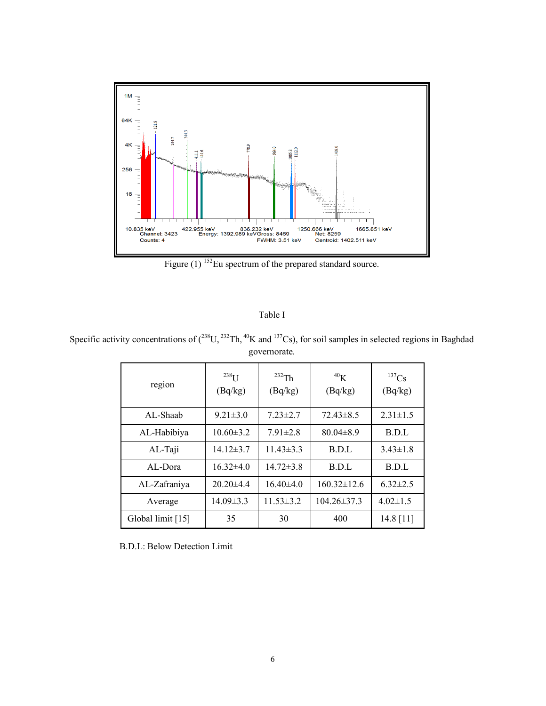

Figure (1) <sup>152</sup>Eu spectrum of the prepared standard source.

| I |  |  |
|---|--|--|
|---|--|--|

Specific activity concentrations of  $(^{238}U, ^{232}Th, ^{40}K$  and  $^{137}Cs$ ), for soil samples in selected regions in Baghdad governorate.

| region            | $238$ U<br>(Bq/kg) | $232$ Th<br>(Bq/kg) | 40 <sub>K</sub><br>(Bq/kg)           | $^{137}Cs$<br>(Bq/kg) |  |
|-------------------|--------------------|---------------------|--------------------------------------|-----------------------|--|
| AL-Shaab          | $9.21 \pm 3.0$     | $7.23 \pm 2.7$      | $72.43\pm8.5$                        | $2.31 \pm 1.5$        |  |
| AL-Habibiya       | $10.60 \pm 3.2$    | $7.91 \pm 2.8$      | $80.04 \pm 8.9$                      | B.D.L                 |  |
| AL-Taji           | $14.12 \pm 3.7$    | $11.43 \pm 3.3$     | B.D.L                                | $3.43 \pm 1.8$        |  |
| AL-Dora           | $16.32{\pm}4.0$    | $14.72 \pm 3.8$     | B.D.L                                | B.D.L                 |  |
| AL-Zafraniya      | $20.20\pm4.4$      | $16.40\pm4.0$       | $160.32 \pm 12.6$                    | $6.32 \pm 2.5$        |  |
| Average           | $14.09 \pm 3.3$    |                     | $11.53 \pm 3.2$<br>$104.26 \pm 37.3$ |                       |  |
| Global limit [15] | 35                 | 30                  | 400                                  | 14.8 $[11]$           |  |

B.D.L: Below Detection Limit